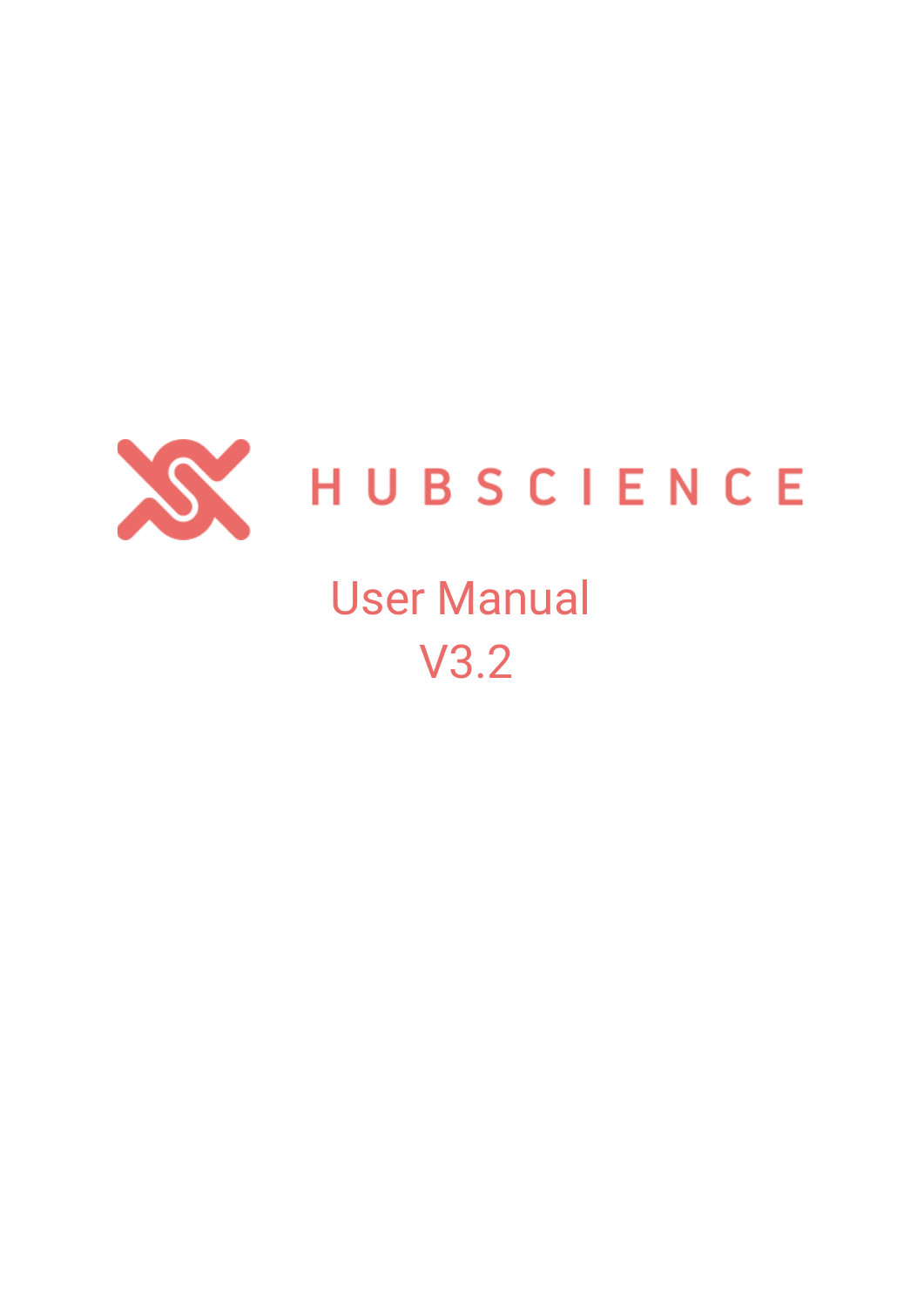

# HUBSCIENCE

## User Manual V3.2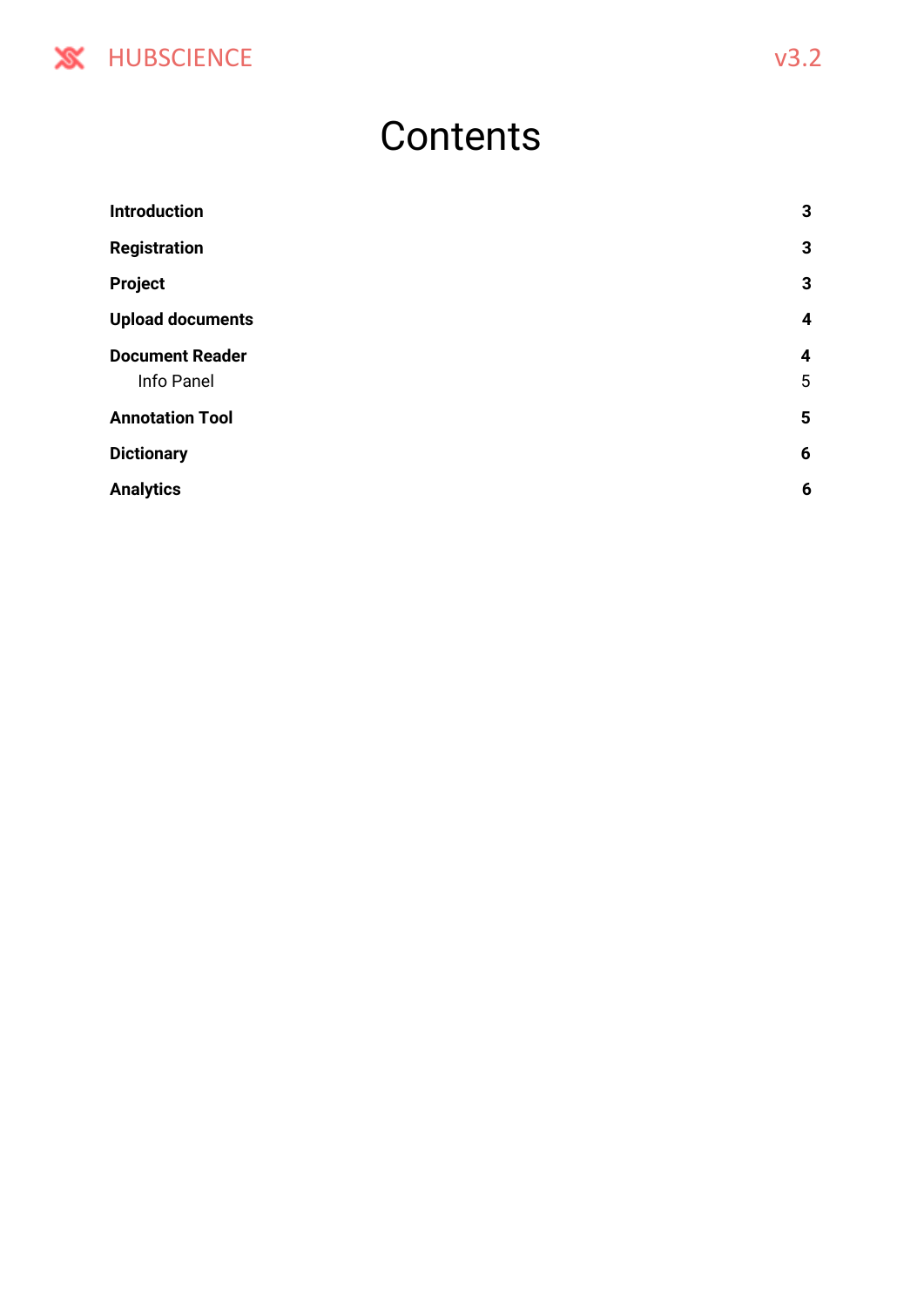

### **Contents**

| <b>Introduction</b>                  | $\mathbf{3}$          |
|--------------------------------------|-----------------------|
| <b>Registration</b>                  | $\mathbf{3}$          |
| Project                              | $\mathbf{3}$          |
| <b>Upload documents</b>              | 4                     |
| <b>Document Reader</b><br>Info Panel | $\boldsymbol{4}$<br>5 |
| <b>Annotation Tool</b>               | 5                     |
| <b>Dictionary</b>                    | $6\phantom{1}6$       |
| <b>Analytics</b>                     | 6                     |
|                                      |                       |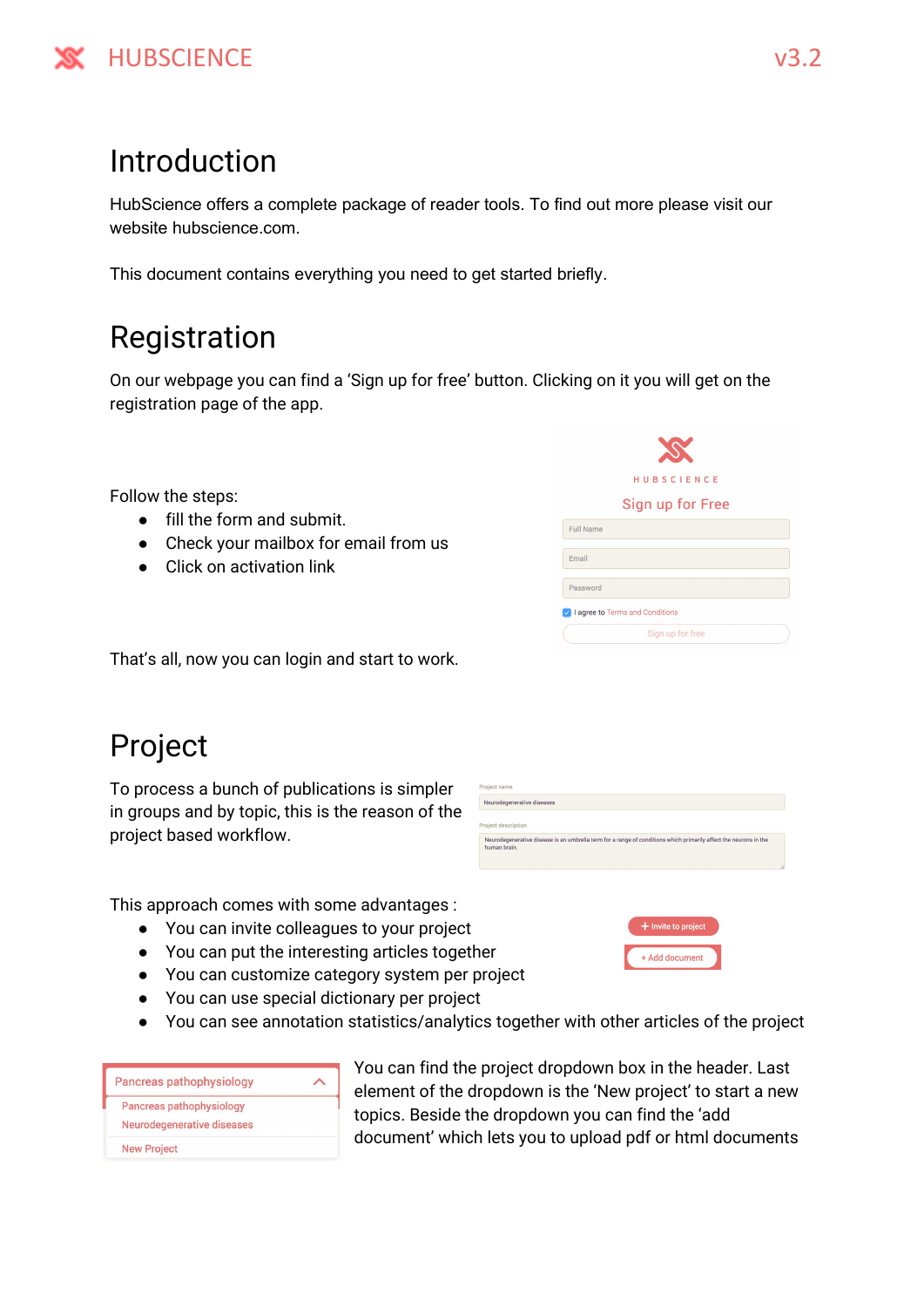

#### <span id="page-2-0"></span>Introduction

HubScience offers a complete package of reader tools. To find out more please visit our website hubscience.com.

<span id="page-2-1"></span>This document contains everything you need to get started briefly.

#### Registration

On our webpage you can find a 'Sign up for free' button. Clicking on it you will get on the registration page of the app.

Follow the steps:

- fill the form and submit.
- Check your mailbox for email from us
- Click on activation link

| <b>HUBSCIENCE</b>               |
|---------------------------------|
| Sign up for Free                |
| Full Name                       |
| Email                           |
| Password                        |
| I agree to Terms and Conditions |
| Sign up for free                |
|                                 |

That's all, now you can login and start to work.

#### <span id="page-2-2"></span>Project

To process a bunch of publications is simpler in groups and by topic, this is the reason of the project based workflow.

| Project name                                                                                                                      |    |
|-----------------------------------------------------------------------------------------------------------------------------------|----|
| Neurodegenerative diseases                                                                                                        |    |
| Project description                                                                                                               |    |
| Neurodegenerative disease is an umbrella term for a range of conditions which primarily affect the neurons in the<br>human brain. |    |
|                                                                                                                                   | Î. |

This approach comes with some advantages :

- You can invite colleagues to your project
- You can put the interesting articles together
- You can customize category system per project
- You can use special dictionary per project
- You can see annotation statistics/analytics together with other articles of the project

| Pancreas pathophysiology                               |  |
|--------------------------------------------------------|--|
| Pancreas pathophysiology<br>Neurodegenerative diseases |  |
| <b>New Project</b>                                     |  |

You can find the project dropdown box in the header. Last element of the dropdown is the 'New project' to start a new topics. Beside the dropdown you can find the 'add document' which lets you to upload pdf or html documents

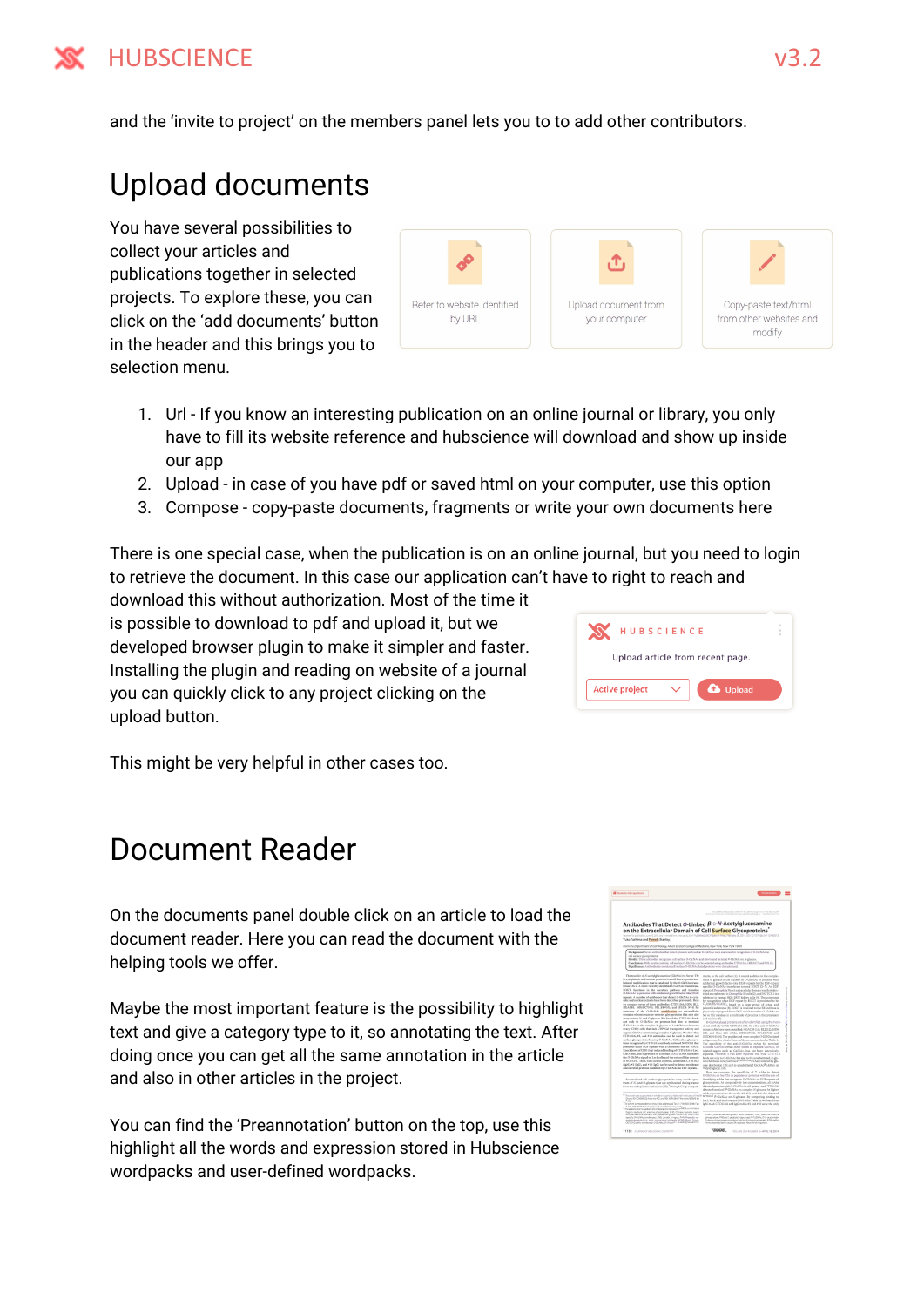

<span id="page-3-0"></span>and the 'invite to project' on the members panel lets you to to add other contributors.

#### Upload documents

You have several possibilities to collect your articles and publications together in selected projects. To explore these, you can click on the 'add documents' button in the header and this brings you to selection menu.

| Refer to website identified<br>by URL | Upload document from<br>your computer | Copy-paste text/html<br>from other websites and<br>modify |
|---------------------------------------|---------------------------------------|-----------------------------------------------------------|

- 1. Url If you know an interesting publication on an online journal or library, you only have to fill its website reference and hubscience will download and show up inside our app
- 2. Upload in case of you have pdf or saved html on your computer, use this option
- 3. Compose copy-paste documents, fragments or write your own documents here

There is one special case, when the publication is on an online journal, but you need to login to retrieve the document. In this case our application can't have to right to reach and

download this without authorization. Most of the time it is possible to download to pdf and upload it, but we developed browser plugin to make it simpler and faster. Installing the plugin and reading on website of a journal you can quickly click to any project clicking on the upload button.

|                       | HUBSCIENCE                       |                 |
|-----------------------|----------------------------------|-----------------|
|                       | Upload article from recent page. |                 |
| <b>Active project</b> |                                  | <b>a</b> Upload |

This might be very helpful in other cases too.

#### <span id="page-3-1"></span>Document Reader

On the documents panel double click on an article to load the document reader. Here you can read the document with the helping tools we offer.

Maybe the most important feature is the possibility to highlight text and give a category type to it, so annotating the text. After doing once you can get all the same annotation in the article and also in other articles in the project.

You can find the 'Preannotation' button on the top, use this highlight all the words and expression stored in Hubscience wordpacks and user-defined wordpacks.

| on the Extracellular Domain of Cell Surface Glycoproteins<br>Borned for publishing Low 10 2013 and in wored form heloured 2014 Published, JBC Paper 2 Press February 26 2014, DDI 10 1074/84 MITS #RBS/3<br>Yuko Tashima and Parnela Stanley.<br>From the Department of Cell Biology, Albert Einstein College of Medicine, New York, New York 1945?<br>Backgrounds Seven antibodies that detect extends and readear O-GMAs were manized for recognition of O-GMAs can<br>cell surface abconvenient.<br>Besults: Three antibodies recognized cell surface G-G&NAc and also bound terminal F-G&NAc an N-glocans.<br>Canadasiane With careful controls, cell sarface O-GleNAc can be detected using antibodies CTD110A, 18800.CT, and 8D13L<br>Significance: Antibodies to monitor cell surface O-GlcNAryland proteins were characterized.<br>The transfer of N-acetylalacosamine (GleNAc) to Ser ar The<br>ments, to the cell surface (1). A recent addition to the comple-<br>and madeus (9).<br>*-dystrophone (16)<br>O-GleNAe on Ser/The in peptides or preteins, with the aim of<br>Secreted and cell surface glycoproteins carry a wide spec-<br>trans of N- and O-glycans that are synthesized during transit<br>from the endoplasmic reticulum (ER). Through Golgi compart-<br>mAb concernstations the mAbs #3, #10, and #14 also detected<br>* This work was supported in whole or in part. by had one institutes of restil<br>Gonta 801 CASISS20 tram ma NO and RF-QA1 35413 from the NGAS 3to<br>m<br>To when consigendered should be addressed. Tel: 1-718-430-2046. Fasc<br>1-710-65-62-1 Email: panels Ashindhimonyu adı.<br>1 The aldernistics soutient Eliminologia no restatumentalist, a minimum<br>Sagin's medium, AR, also line phosphatures DVD, Chinese Namible over<br>ICD, extraorityler domain; DGF, epidemial grawsh factor like; COCZ, ED-<br>specific OrDs/Mix transferrors LTML Langtle Frieste L-Fr/A. Photoship suit-<br>in leukoegputnin; mAb, monoconul ambody, Milleti, Maric Fringe;<br>OGT, O-Große membraner G-Große, O-Insant A-1-4 eostylg sozialming<br>Immunesvelohaton assec SA agaroas, Neurohirdin aganeae. |                                                                                                                                                                                                                                                                                                                                                                                                                                                                                                                                                                                                                                                                                                                                                                                                                                                                                                                                                                                                                                                                                                                                                                                                                                                                                                                                                                                                                                                                                                                                                                                                                                                                                                |                                                                                                                                                                                                                                                                                                                                                                                                                                                                                                                                                                                                                                                                                                                                                                                                                                                                                                                                                                                                                                                                                                                                                                                                                                                                                                                                                                                                                                                                                                                                                                                                                                     |
|------------------------------------------------------------------------------------------------------------------------------------------------------------------------------------------------------------------------------------------------------------------------------------------------------------------------------------------------------------------------------------------------------------------------------------------------------------------------------------------------------------------------------------------------------------------------------------------------------------------------------------------------------------------------------------------------------------------------------------------------------------------------------------------------------------------------------------------------------------------------------------------------------------------------------------------------------------------------------------------------------------------------------------------------------------------------------------------------------------------------------------------------------------------------------------------------------------------------------------------------------------------------------------------------------------------------------------------------------------------------------------------------------------------------------------------------------------------------------------------------------------------------------------------------------------------------------------------------------------------------------------------------------------------------------------------------------------------------------------------------------------------------------------------------------------------------------------------------------------------------------------------------------------------------------------------------------------------------------------------------------------------------------------------------------------------------------------------------------------------------------------------------------|------------------------------------------------------------------------------------------------------------------------------------------------------------------------------------------------------------------------------------------------------------------------------------------------------------------------------------------------------------------------------------------------------------------------------------------------------------------------------------------------------------------------------------------------------------------------------------------------------------------------------------------------------------------------------------------------------------------------------------------------------------------------------------------------------------------------------------------------------------------------------------------------------------------------------------------------------------------------------------------------------------------------------------------------------------------------------------------------------------------------------------------------------------------------------------------------------------------------------------------------------------------------------------------------------------------------------------------------------------------------------------------------------------------------------------------------------------------------------------------------------------------------------------------------------------------------------------------------------------------------------------------------------------------------------------------------|-------------------------------------------------------------------------------------------------------------------------------------------------------------------------------------------------------------------------------------------------------------------------------------------------------------------------------------------------------------------------------------------------------------------------------------------------------------------------------------------------------------------------------------------------------------------------------------------------------------------------------------------------------------------------------------------------------------------------------------------------------------------------------------------------------------------------------------------------------------------------------------------------------------------------------------------------------------------------------------------------------------------------------------------------------------------------------------------------------------------------------------------------------------------------------------------------------------------------------------------------------------------------------------------------------------------------------------------------------------------------------------------------------------------------------------------------------------------------------------------------------------------------------------------------------------------------------------------------------------------------------------|
|                                                                                                                                                                                                                                                                                                                                                                                                                                                                                                                                                                                                                                                                                                                                                                                                                                                                                                                                                                                                                                                                                                                                                                                                                                                                                                                                                                                                                                                                                                                                                                                                                                                                                                                                                                                                                                                                                                                                                                                                                                                                                                                                                      |                                                                                                                                                                                                                                                                                                                                                                                                                                                                                                                                                                                                                                                                                                                                                                                                                                                                                                                                                                                                                                                                                                                                                                                                                                                                                                                                                                                                                                                                                                                                                                                                                                                                                                |                                                                                                                                                                                                                                                                                                                                                                                                                                                                                                                                                                                                                                                                                                                                                                                                                                                                                                                                                                                                                                                                                                                                                                                                                                                                                                                                                                                                                                                                                                                                                                                                                                     |
|                                                                                                                                                                                                                                                                                                                                                                                                                                                                                                                                                                                                                                                                                                                                                                                                                                                                                                                                                                                                                                                                                                                                                                                                                                                                                                                                                                                                                                                                                                                                                                                                                                                                                                                                                                                                                                                                                                                                                                                                                                                                                                                                                      |                                                                                                                                                                                                                                                                                                                                                                                                                                                                                                                                                                                                                                                                                                                                                                                                                                                                                                                                                                                                                                                                                                                                                                                                                                                                                                                                                                                                                                                                                                                                                                                                                                                                                                |                                                                                                                                                                                                                                                                                                                                                                                                                                                                                                                                                                                                                                                                                                                                                                                                                                                                                                                                                                                                                                                                                                                                                                                                                                                                                                                                                                                                                                                                                                                                                                                                                                     |
|                                                                                                                                                                                                                                                                                                                                                                                                                                                                                                                                                                                                                                                                                                                                                                                                                                                                                                                                                                                                                                                                                                                                                                                                                                                                                                                                                                                                                                                                                                                                                                                                                                                                                                                                                                                                                                                                                                                                                                                                                                                                                                                                                      |                                                                                                                                                                                                                                                                                                                                                                                                                                                                                                                                                                                                                                                                                                                                                                                                                                                                                                                                                                                                                                                                                                                                                                                                                                                                                                                                                                                                                                                                                                                                                                                                                                                                                                |                                                                                                                                                                                                                                                                                                                                                                                                                                                                                                                                                                                                                                                                                                                                                                                                                                                                                                                                                                                                                                                                                                                                                                                                                                                                                                                                                                                                                                                                                                                                                                                                                                     |
|                                                                                                                                                                                                                                                                                                                                                                                                                                                                                                                                                                                                                                                                                                                                                                                                                                                                                                                                                                                                                                                                                                                                                                                                                                                                                                                                                                                                                                                                                                                                                                                                                                                                                                                                                                                                                                                                                                                                                                                                                                                                                                                                                      | in extendentic and machtar proteins is a well known post-trans-<br>latingal modification that is catalyzed by the O.GleNAe trues.<br>feruse OGT. A more recently identified O-GloNAs transferuse.<br>EOGT, functions in the secretory pathway and transfers<br>O-GlcNAr to proteins with epidermal grawth factor-like (EGF)<br>repeats. A number of antibodies that detect O-GleNAc in cota-<br>selic and nuclear extracts have been described previously. Here<br>we compare seven of these antibodies (CTD110.6, 10D8, E12,<br>HGACKS, 18B00.C7993, 9D1.340930, and 135.D6 0914) for<br>detection of the O-GloNAc madification on extraordislay<br>domains of membrane or secreted abrocavoteins that may also<br>carry various N- and O-glycam. We found that CTD131.6 binds<br>not only to O-GleNAc on proteins but also to terminal<br>F-GlcNAc on the complex N-glycans of Lec8 Chinese hamster<br>every ICHO) calls that lack UDP-Gal transporter activity and<br>express GlcNAc-terminating, complex N-glycans. We show that<br>CTD110.6, #3, and #10 antibodies can be used to detect cell.<br>surface abroneopteins boaring O-GlaNAz. Cell surface abronore-<br>teins recognized by CTD133.6 antibody included NOTCH1 that<br>presence many RGF repeats with a consensus site for EOGT.<br>Knockdown of C803 Engt reduced binding of CTD110.6 to Loc1<br>CHO cells, and expression of a human EOGT cDNA increased.<br>the O GleNAc signal on Lec1 cells and the extraorlistar domain.<br>el NOTCHI. Thus, with careful entersly, antibodies CTD110.6<br>(lgM), #3 (lgG), and #30 (lgG) can be used to detect membrane<br>and recorned propriate modified by O-GleNAc on EGT repeats. | ment of glycans is the transfer of O-GloNAc to proteins with<br>epidermal growth factor-like (EGF) repeats by the EGF-repeat.<br>specific O-GlaNAc-transferred termed EDGT (2-7). An EGF<br>repeat of Drospekilla Notch systemaliske domain was first iden-<br>6 fiel as a substrate in Dronphile \$2 cells (2), and NOTCHI is a<br>substrate in human HEK-283T laidney cells [4]. The consensus<br>for recognition of an ECF repeat by EOCT is predicted to be<br>C_XXCXN/TGXXC, based on a large group of actual and<br>potential substrates (6), DOGT is localized to the ER and thus is<br>physically segmented from OGT which transfers O-GleNAc to<br>Ser or Thy residues in a maltitude of proteins in the cytoplasm<br>O GlaNA educad proteins are often identified using the mono-<br>clonal antibody (10Ab) CTDG10.6 (10). Six other and O-GloNAc<br>mouse mAbs have been described: HGAC85 (11), \$1.2 (12), 10D8<br>(18), and three lati mAbs, 18810(2598), 9D15(8932), and<br>185.D60414) (14). The peptides and more complex O-GlcNAcolated<br>antigens used to obtain these mAbs are summarized in Table 1.<br>The specificity of the anti-O-GloNAc mAbs for terminal<br>O-linked GlcMAc servar other forms of exposed GlcNAc, or<br>related sugary such as GaINAc, has not been extensively<br>explored. However, it has been reported that mAb CTD110.6<br>hinds not solv to O Gli/MA: but also to the unaderitated. Night-<br>can chinohipes core (GlaNAcid-AGCNAcid) Aust induced by els-<br>cese deprivation (15) and to unsubstituted Cir.NAvP1.4Nan on<br>Here we compare the specificity of 7 mAbs to detect |
|                                                                                                                                                                                                                                                                                                                                                                                                                                                                                                                                                                                                                                                                                                                                                                                                                                                                                                                                                                                                                                                                                                                                                                                                                                                                                                                                                                                                                                                                                                                                                                                                                                                                                                                                                                                                                                                                                                                                                                                                                                                                                                                                                      |                                                                                                                                                                                                                                                                                                                                                                                                                                                                                                                                                                                                                                                                                                                                                                                                                                                                                                                                                                                                                                                                                                                                                                                                                                                                                                                                                                                                                                                                                                                                                                                                                                                                                                | identifying mAbs that recognize O-GloNA; on EGF repeats of<br>givennoteins. At compansively low concentrations, all mAbs<br>detected proteins with O-GlcNAc in cell images, and CTD115.6<br>detected terminal ill-GlzNAz on complex N-givenny, At higher                                                                                                                                                                                                                                                                                                                                                                                                                                                                                                                                                                                                                                                                                                                                                                                                                                                                                                                                                                                                                                                                                                                                                                                                                                                                                                                                                                            |
|                                                                                                                                                                                                                                                                                                                                                                                                                                                                                                                                                                                                                                                                                                                                                                                                                                                                                                                                                                                                                                                                                                                                                                                                                                                                                                                                                                                                                                                                                                                                                                                                                                                                                                                                                                                                                                                                                                                                                                                                                                                                                                                                                      |                                                                                                                                                                                                                                                                                                                                                                                                                                                                                                                                                                                                                                                                                                                                                                                                                                                                                                                                                                                                                                                                                                                                                                                                                                                                                                                                                                                                                                                                                                                                                                                                                                                                                                | terminal J-Glabbe on N-glycans. By comparing hinding to<br>Lec1. Lec2. and Lec8 matant CHO cells (Table 2), we found that<br>leb1 mAb CTD110.6 and left mAbs #3 and #22 were the eater                                                                                                                                                                                                                                                                                                                                                                                                                                                                                                                                                                                                                                                                                                                                                                                                                                                                                                                                                                                                                                                                                                                                                                                                                                                                                                                                                                                                                                              |
|                                                                                                                                                                                                                                                                                                                                                                                                                                                                                                                                                                                                                                                                                                                                                                                                                                                                                                                                                                                                                                                                                                                                                                                                                                                                                                                                                                                                                                                                                                                                                                                                                                                                                                                                                                                                                                                                                                                                                                                                                                                                                                                                                      |                                                                                                                                                                                                                                                                                                                                                                                                                                                                                                                                                                                                                                                                                                                                                                                                                                                                                                                                                                                                                                                                                                                                                                                                                                                                                                                                                                                                                                                                                                                                                                                                                                                                                                | PDGFR, platelet-derived growth factor receptor; RUAP, placerise alliatine<br>wahate Müsel, sealsk frances fr FLDML O.D accorder<br>I debty digitatory providere) whitto the translations at RFA, radio-                                                                                                                                                                                                                                                                                                                                                                                                                                                                                                                                                                                                                                                                                                                                                                                                                                                                                                                                                                                                                                                                                                                                                                                                                                                                                                                                                                                                                             |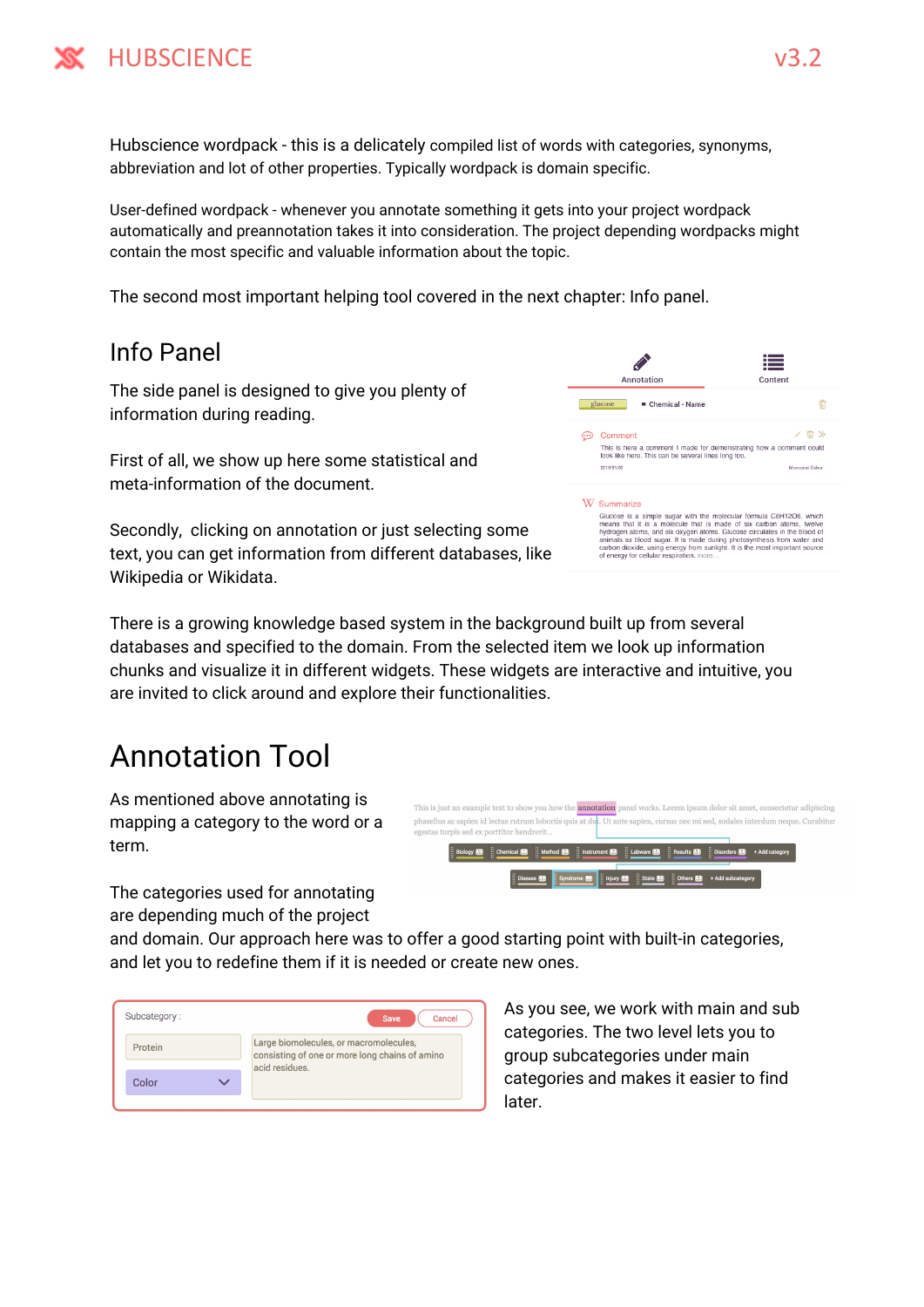Hubscience wordpack - this is a delicately compiled list of words with categories, synonyms, abbreviation and lot of other properties. Typically wordpack is domain specific.

User-defined wordpack - whenever you annotate something it gets into your project wordpack automatically and preannotation takes it into consideration. The project depending wordpacks might contain the most specific and valuable information about the topic.

<span id="page-4-0"></span>The second most important helping tool covered in the next chapter: Info panel.

#### Info Panel

The side panel is designed to give you plenty of information during reading.

First of all, we show up here some statistical and meta-information of the document.

Secondly, clicking on annotation or just selecting some text, you can get information from different databases, like Wikipedia or Wikidata.

There is a growing knowledge based system in the background built up from several databases and specified to the domain. From the selected item we look up information chunks and visualize it in different widgets. These widgets are interactive and intuitive, you are invited to click around and explore their functionalities.

#### <span id="page-4-1"></span>Annotation Tool

As mentioned above annotating is mapping a category to the word or a term.

The categories used for annotating are depending much of the project

and domain. Our approach here was to offer a good starting point with built-in categories, and let you to redefine them if it is needed or create new ones.

| Subcategory: | <b>Save</b><br>Cancel                                                                                      |
|--------------|------------------------------------------------------------------------------------------------------------|
| Protein      | Large biomolecules, or macromolecules,<br>consisting of one or more long chains of amino<br>acid residues. |
| Color        |                                                                                                            |

As you see, we work with main and sub categories. The two level lets you to group subcategories under main categories and makes it easier to find later.

This is here a comment I made for demonstrating how a comment could look like here. This can be several lines long too. Glucose is a simple sugar with the molecular formula C6H12O6, which<br>means that it is a molecule that is made of six carbon atoms, twelve<br>hydrogen atoms, and six oxygen atoms. Glucose circulates in the blood of<br>animals as b